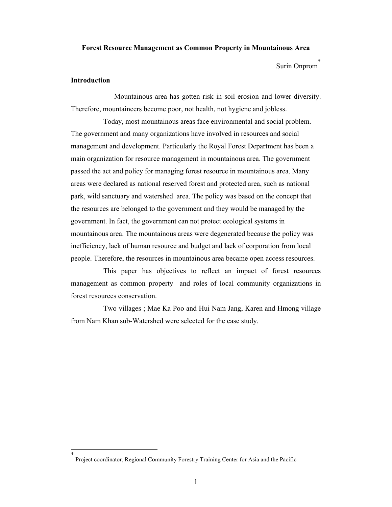#### **Forest Resource Management as Common Property in Mountainous Area**

Surin Onprom

## **Introduction**

 $\overline{a}$ 

 Mountainous area has gotten risk in soil erosion and lower diversity. Therefore, mountaineers become poor, not health, not hygiene and jobless.

 Today, most mountainous areas face environmental and social problem. The government and many organizations have involved in resources and social management and development. Particularly the Royal Forest Department has been a main organization for resource management in mountainous area. The government passed the act and policy for managing forest resource in mountainous area. Many areas were declared as national reserved forest and protected area, such as national park, wild sanctuary and watershed area. The policy was based on the concept that the resources are belonged to the government and they would be managed by the government. In fact, the government can not protect ecological systems in mountainous area. The mountainous areas were degenerated because the policy was inefficiency, lack of human resource and budget and lack of corporation from local people. Therefore, the resources in mountainous area became open access resources.

 This paper has objectives to reflect an impact of forest resources management as common property and roles of local community organizations in forest resources conservation.

 Two villages ; Mae Ka Poo and Hui Nam Jang, Karen and Hmong village from Nam Khan sub-Watershed were selected for the case study.

<sup>\*</sup> Project coordinator, Regional Community Forestry Training Center for Asia and the Pacific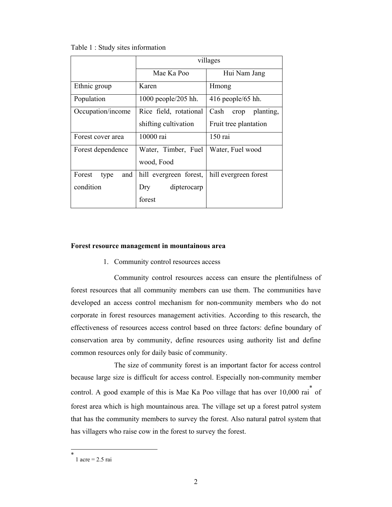Table 1 : Study sites information

|                       | villages               |                           |
|-----------------------|------------------------|---------------------------|
|                       | Mae Ka Poo             | Hui Nam Jang              |
| Ethnic group          | Karen                  | Hmong                     |
| Population            | 1000 people/205 hh.    | $416$ people/65 hh.       |
| Occupation/income     | Rice field, rotational | Cash<br>planting,<br>crop |
|                       | shifting cultivation   | Fruit tree plantation     |
| Forest cover area     | 10000 rai              | 150 rai                   |
| Forest dependence     | Water, Timber, Fuel    | Water, Fuel wood          |
|                       | wood, Food             |                           |
| Forest<br>and<br>type | hill evergreen forest, | hill evergreen forest     |
| condition             | dipterocarp<br>Dry     |                           |
|                       | forest                 |                           |

### **Forest resource management in mountainous area**

1. Community control resources access

 Community control resources access can ensure the plentifulness of forest resources that all community members can use them. The communities have developed an access control mechanism for non-community members who do not corporate in forest resources management activities. According to this research, the effectiveness of resources access control based on three factors: define boundary of conservation area by community, define resources using authority list and define common resources only for daily basic of community.

 The size of community forest is an important factor for access control because large size is difficult for access control. Especially non-community member control. A good example of this is Mae Ka Poo village that has over  $10,000$  rai<sup>\*</sup> of forest area which is high mountainous area. The village set up a forest patrol system that has the community members to survey the forest. Also natural patrol system that has villagers who raise cow in the forest to survey the forest.

 $\overline{a}$ 

<sup>\*</sup> 1 acre = 2.5 rai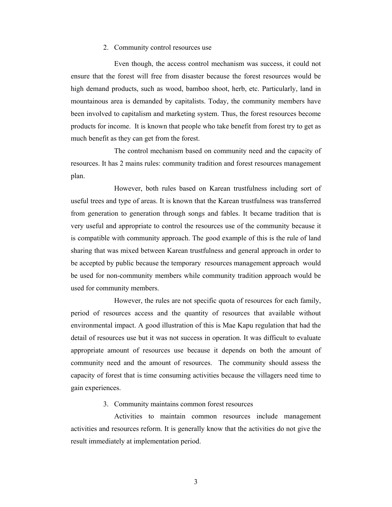### 2. Community control resources use

 Even though, the access control mechanism was success, it could not ensure that the forest will free from disaster because the forest resources would be high demand products, such as wood, bamboo shoot, herb, etc. Particularly, land in mountainous area is demanded by capitalists. Today, the community members have been involved to capitalism and marketing system. Thus, the forest resources become products for income. It is known that people who take benefit from forest try to get as much benefit as they can get from the forest.

 The control mechanism based on community need and the capacity of resources. It has 2 mains rules: community tradition and forest resources management plan.

 However, both rules based on Karean trustfulness including sort of useful trees and type of areas. It is known that the Karean trustfulness was transferred from generation to generation through songs and fables. It became tradition that is very useful and appropriate to control the resources use of the community because it is compatible with community approach. The good example of this is the rule of land sharing that was mixed between Karean trustfulness and general approach in order to be accepted by public because the temporary resources management approach would be used for non-community members while community tradition approach would be used for community members.

 However, the rules are not specific quota of resources for each family, period of resources access and the quantity of resources that available without environmental impact. A good illustration of this is Mae Kapu regulation that had the detail of resources use but it was not success in operation. It was difficult to evaluate appropriate amount of resources use because it depends on both the amount of community need and the amount of resources. The community should assess the capacity of forest that is time consuming activities because the villagers need time to gain experiences.

#### 3. Community maintains common forest resources

Activities to maintain common resources include management activities and resources reform. It is generally know that the activities do not give the result immediately at implementation period.

3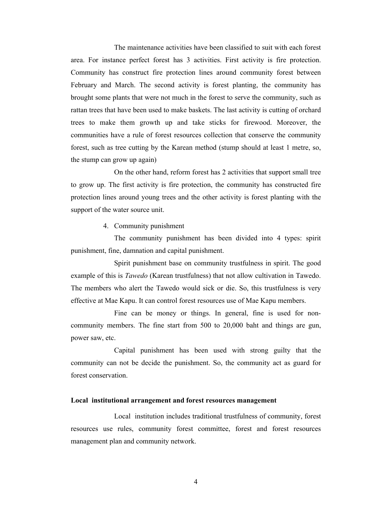The maintenance activities have been classified to suit with each forest area. For instance perfect forest has 3 activities. First activity is fire protection. Community has construct fire protection lines around community forest between February and March. The second activity is forest planting, the community has brought some plants that were not much in the forest to serve the community, such as rattan trees that have been used to make baskets. The last activity is cutting of orchard trees to make them growth up and take sticks for firewood. Moreover, the communities have a rule of forest resources collection that conserve the community forest, such as tree cutting by the Karean method (stump should at least 1 metre, so, the stump can grow up again)

On the other hand, reform forest has 2 activities that support small tree to grow up. The first activity is fire protection, the community has constructed fire protection lines around young trees and the other activity is forest planting with the support of the water source unit.

4. Community punishment

The community punishment has been divided into 4 types: spirit punishment, fine, damnation and capital punishment.

Spirit punishment base on community trustfulness in spirit. The good example of this is *Tawedo* (Karean trustfulness) that not allow cultivation in Tawedo. The members who alert the Tawedo would sick or die. So, this trustfulness is very effective at Mae Kapu. It can control forest resources use of Mae Kapu members.

Fine can be money or things. In general, fine is used for noncommunity members. The fine start from 500 to 20,000 baht and things are gun, power saw, etc.

Capital punishment has been used with strong guilty that the community can not be decide the punishment. So, the community act as guard for forest conservation.

### **Local institutional arrangement and forest resources management**

 Local institution includes traditional trustfulness of community, forest resources use rules, community forest committee, forest and forest resources management plan and community network.

4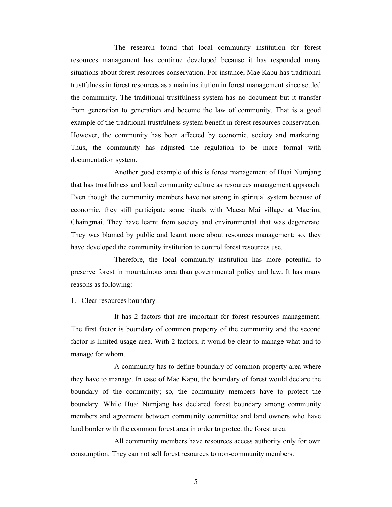The research found that local community institution for forest resources management has continue developed because it has responded many situations about forest resources conservation. For instance, Mae Kapu has traditional trustfulness in forest resources as a main institution in forest management since settled the community. The traditional trustfulness system has no document but it transfer from generation to generation and become the law of community. That is a good example of the traditional trustfulness system benefit in forest resources conservation. However, the community has been affected by economic, society and marketing. Thus, the community has adjusted the regulation to be more formal with documentation system.

 Another good example of this is forest management of Huai Numjang that has trustfulness and local community culture as resources management approach. Even though the community members have not strong in spiritual system because of economic, they still participate some rituals with Maesa Mai village at Maerim, Chaingmai. They have learnt from society and environmental that was degenerate. They was blamed by public and learnt more about resources management; so, they have developed the community institution to control forest resources use.

 Therefore, the local community institution has more potential to preserve forest in mountainous area than governmental policy and law. It has many reasons as following:

1. Clear resources boundary

 It has 2 factors that are important for forest resources management. The first factor is boundary of common property of the community and the second factor is limited usage area. With 2 factors, it would be clear to manage what and to manage for whom.

 A community has to define boundary of common property area where they have to manage. In case of Mae Kapu, the boundary of forest would declare the boundary of the community; so, the community members have to protect the boundary. While Huai Numjang has declared forest boundary among community members and agreement between community committee and land owners who have land border with the common forest area in order to protect the forest area.

 All community members have resources access authority only for own consumption. They can not sell forest resources to non-community members.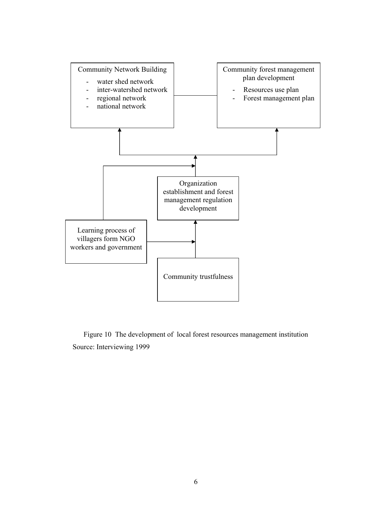

Figure 10 The development of local forest resources management institution Source: Interviewing 1999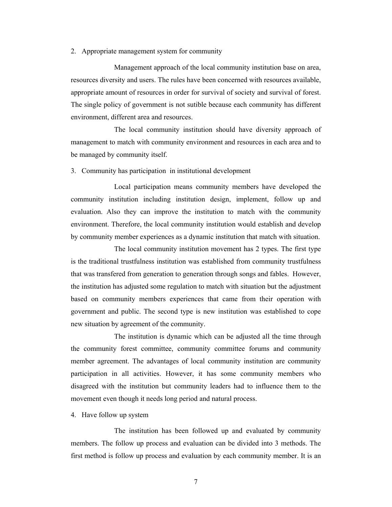2. Appropriate management system for community

 Management approach of the local community institution base on area, resources diversity and users. The rules have been concerned with resources available, appropriate amount of resources in order for survival of society and survival of forest. The single policy of government is not sutible because each community has different environment, different area and resources.

 The local community institution should have diversity approach of management to match with community environment and resources in each area and to be managed by community itself.

3. Community has participation in institutional development

 Local participation means community members have developed the community institution including institution design, implement, follow up and evaluation. Also they can improve the institution to match with the community environment. Therefore, the local community institution would establish and develop by community member experiences as a dynamic institution that match with situation.

 The local community institution movement has 2 types. The first type is the traditional trustfulness institution was established from community trustfulness that was transfered from generation to generation through songs and fables. However, the institution has adjusted some regulation to match with situation but the adjustment based on community members experiences that came from their operation with government and public. The second type is new institution was established to cope new situation by agreement of the community.

 The institution is dynamic which can be adjusted all the time through the community forest committee, community committee forums and community member agreement. The advantages of local community institution are community participation in all activities. However, it has some community members who disagreed with the institution but community leaders had to influence them to the movement even though it needs long period and natural process.

4. Have follow up system

 The institution has been followed up and evaluated by community members. The follow up process and evaluation can be divided into 3 methods. The first method is follow up process and evaluation by each community member. It is an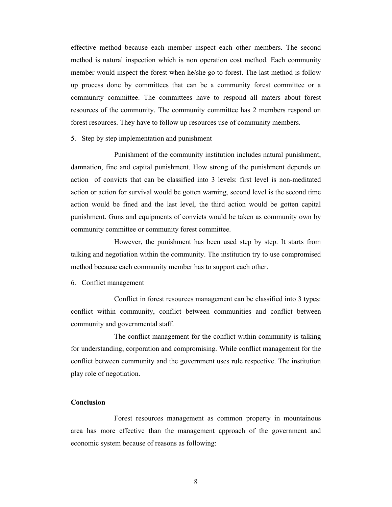effective method because each member inspect each other members. The second method is natural inspection which is non operation cost method. Each community member would inspect the forest when he/she go to forest. The last method is follow up process done by committees that can be a community forest committee or a community committee. The committees have to respond all maters about forest resources of the community. The community committee has 2 members respond on forest resources. They have to follow up resources use of community members.

5. Step by step implementation and punishment

 Punishment of the community institution includes natural punishment, damnation, fine and capital punishment. How strong of the punishment depends on action of convicts that can be classified into 3 levels: first level is non-meditated action or action for survival would be gotten warning, second level is the second time action would be fined and the last level, the third action would be gotten capital punishment. Guns and equipments of convicts would be taken as community own by community committee or community forest committee.

 However, the punishment has been used step by step. It starts from talking and negotiation within the community. The institution try to use compromised method because each community member has to support each other.

6. Conflict management

 Conflict in forest resources management can be classified into 3 types: conflict within community, conflict between communities and conflict between community and governmental staff.

 The conflict management for the conflict within community is talking for understanding, corporation and compromising. While conflict management for the conflict between community and the government uses rule respective. The institution play role of negotiation.

# **Conclusion**

 Forest resources management as common property in mountainous area has more effective than the management approach of the government and economic system because of reasons as following:

8